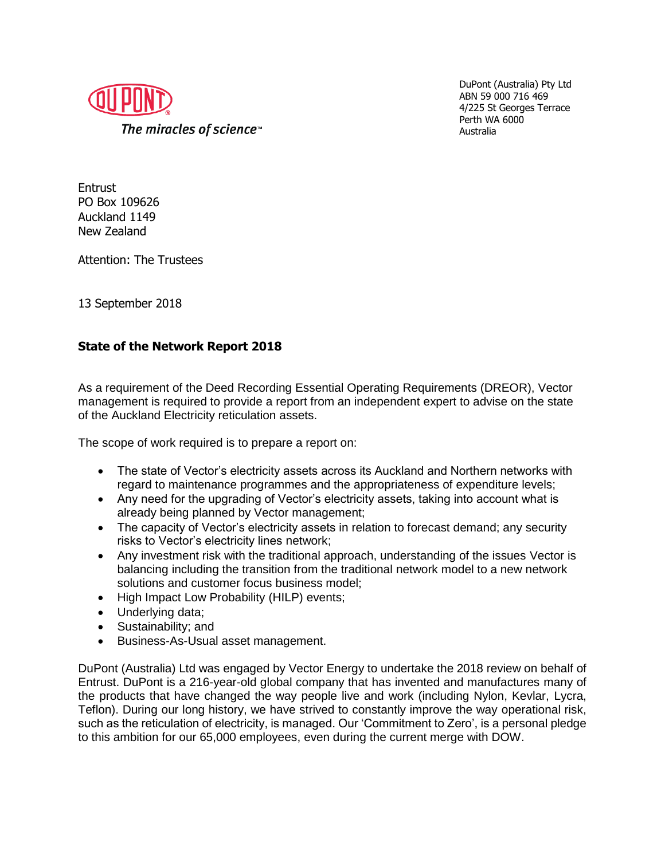

DuPont (Australia) Pty Ltd ABN 59 000 716 469 4/225 St Georges Terrace Perth WA 6000 Australia

**Entrust** PO Box 109626 Auckland 1149 New Zealand

Attention: The Trustees

13 September 2018

## **State of the Network Report 2018**

As a requirement of the Deed Recording Essential Operating Requirements (DREOR), Vector management is required to provide a report from an independent expert to advise on the state of the Auckland Electricity reticulation assets.

The scope of work required is to prepare a report on:

- The state of Vector's electricity assets across its Auckland and Northern networks with regard to maintenance programmes and the appropriateness of expenditure levels;
- Any need for the upgrading of Vector's electricity assets, taking into account what is already being planned by Vector management;
- The capacity of Vector's electricity assets in relation to forecast demand; any security risks to Vector's electricity lines network;
- Any investment risk with the traditional approach, understanding of the issues Vector is balancing including the transition from the traditional network model to a new network solutions and customer focus business model;
- High Impact Low Probability (HILP) events:
- Underlying data;
- Sustainability; and
- Business-As-Usual asset management.

DuPont (Australia) Ltd was engaged by Vector Energy to undertake the 2018 review on behalf of Entrust. DuPont is a 216-year-old global company that has invented and manufactures many of the products that have changed the way people live and work (including Nylon, Kevlar, Lycra, Teflon). During our long history, we have strived to constantly improve the way operational risk, such as the reticulation of electricity, is managed. Our 'Commitment to Zero', is a personal pledge to this ambition for our 65,000 employees, even during the current merge with DOW.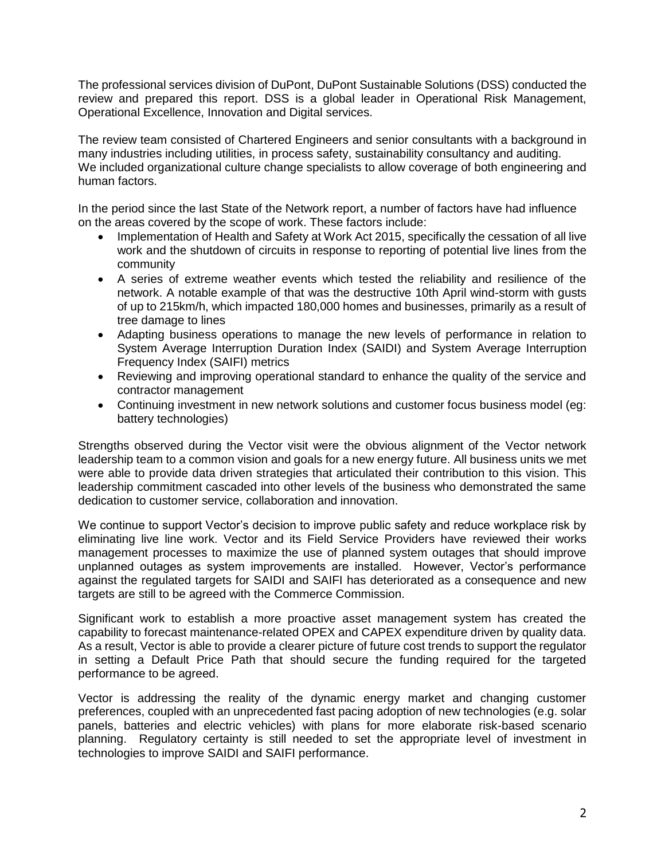The professional services division of DuPont, DuPont Sustainable Solutions (DSS) conducted the review and prepared this report. DSS is a global leader in Operational Risk Management, Operational Excellence, Innovation and Digital services.

The review team consisted of Chartered Engineers and senior consultants with a background in many industries including utilities, in process safety, sustainability consultancy and auditing. We included organizational culture change specialists to allow coverage of both engineering and human factors.

In the period since the last State of the Network report, a number of factors have had influence on the areas covered by the scope of work. These factors include:

- Implementation of Health and Safety at Work Act 2015, specifically the cessation of all live work and the shutdown of circuits in response to reporting of potential live lines from the community
- A series of extreme weather events which tested the reliability and resilience of the network. A notable example of that was the destructive 10th April wind-storm with gusts of up to 215km/h, which impacted 180,000 homes and businesses, primarily as a result of tree damage to lines
- Adapting business operations to manage the new levels of performance in relation to System Average Interruption Duration Index (SAIDI) and System Average Interruption Frequency Index (SAIFI) metrics
- Reviewing and improving operational standard to enhance the quality of the service and contractor management
- Continuing investment in new network solutions and customer focus business model (eg: battery technologies)

Strengths observed during the Vector visit were the obvious alignment of the Vector network leadership team to a common vision and goals for a new energy future. All business units we met were able to provide data driven strategies that articulated their contribution to this vision. This leadership commitment cascaded into other levels of the business who demonstrated the same dedication to customer service, collaboration and innovation.

We continue to support Vector's decision to improve public safety and reduce workplace risk by eliminating live line work. Vector and its Field Service Providers have reviewed their works management processes to maximize the use of planned system outages that should improve unplanned outages as system improvements are installed. However, Vector's performance against the regulated targets for SAIDI and SAIFI has deteriorated as a consequence and new targets are still to be agreed with the Commerce Commission.

Significant work to establish a more proactive asset management system has created the capability to forecast maintenance-related OPEX and CAPEX expenditure driven by quality data. As a result, Vector is able to provide a clearer picture of future cost trends to support the regulator in setting a Default Price Path that should secure the funding required for the targeted performance to be agreed.

Vector is addressing the reality of the dynamic energy market and changing customer preferences, coupled with an unprecedented fast pacing adoption of new technologies (e.g. solar panels, batteries and electric vehicles) with plans for more elaborate risk-based scenario planning. Regulatory certainty is still needed to set the appropriate level of investment in technologies to improve SAIDI and SAIFI performance.